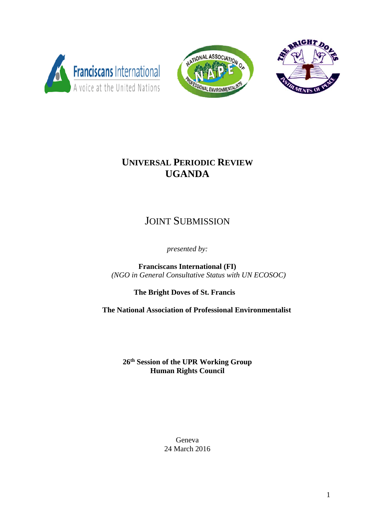





# **UNIVERSAL PERIODIC REVIEW UGANDA**

# JOINT SUBMISSION

*presented by:*

**Franciscans International (FI)** *(NGO in General Consultative Status with UN ECOSOC)*

**The Bright Doves of St. Francis**

 **The National Association of Professional Environmentalist**

**26th Session of the UPR Working Group Human Rights Council**

> Geneva 24 March 2016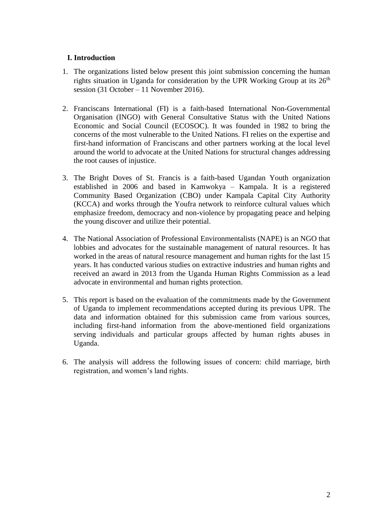## **I. Introduction**

- 1. The organizations listed below present this joint submission concerning the human rights situation in Uganda for consideration by the UPR Working Group at its  $26<sup>th</sup>$ session (31 October – 11 November 2016).
- 2. Franciscans International (FI) is a faith-based International Non-Governmental Organisation (INGO) with General Consultative Status with the United Nations Economic and Social Council (ECOSOC). It was founded in 1982 to bring the concerns of the most vulnerable to the United Nations. FI relies on the expertise and first-hand information of Franciscans and other partners working at the local level around the world to advocate at the United Nations for structural changes addressing the root causes of injustice.
- 3. The Bright Doves of St. Francis is a faith-based Ugandan Youth organization established in 2006 and based in Kamwokya – Kampala. It is a registered Community Based Organization (CBO) under Kampala Capital City Authority (KCCA) and works through the Youfra network to reinforce cultural values which emphasize freedom, democracy and non-violence by propagating peace and helping the young discover and utilize their potential.
- 4. The National Association of Professional Environmentalists (NAPE) is an NGO that lobbies and advocates for the sustainable management of natural resources. It has worked in the areas of natural resource management and human rights for the last 15 years. It has conducted various studies on extractive industries and human rights and received an award in 2013 from the Uganda Human Rights Commission as a lead advocate in environmental and human rights protection.
- 5. This report is based on the evaluation of the commitments made by the Government of Uganda to implement recommendations accepted during its previous UPR. The data and information obtained for this submission came from various sources, including first-hand information from the above-mentioned field organizations serving individuals and particular groups affected by human rights abuses in Uganda.
- 6. The analysis will address the following issues of concern: child marriage, birth registration, and women's land rights.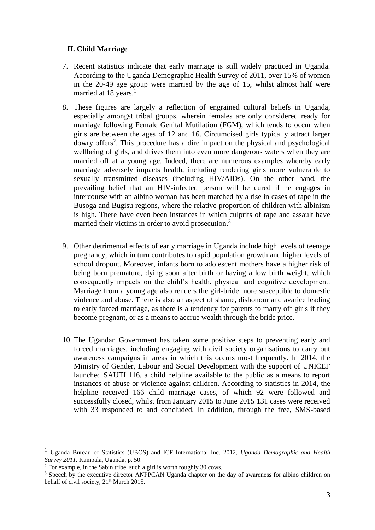#### **II. Child Marriage**

- 7. Recent statistics indicate that early marriage is still widely practiced in Uganda. According to the Uganda Demographic Health Survey of 2011, over 15% of women in the 20-49 age group were married by the age of 15, whilst almost half were married at 18 years.<sup>1</sup>
- 8. These figures are largely a reflection of engrained cultural beliefs in Uganda, especially amongst tribal groups, wherein females are only considered ready for marriage following Female Genital Mutilation (FGM), which tends to occur when girls are between the ages of 12 and 16. Circumcised girls typically attract larger dowry offers<sup>2</sup>. This procedure has a dire impact on the physical and psychological wellbeing of girls, and drives them into even more dangerous waters when they are married off at a young age. Indeed, there are numerous examples whereby early marriage adversely impacts health, including rendering girls more vulnerable to sexually transmitted diseases (including HIV/AIDs). On the other hand, the prevailing belief that an HIV-infected person will be cured if he engages in intercourse with an albino woman has been matched by a rise in cases of rape in the Busoga and Bugisu regions, where the relative proportion of children with albinism is high. There have even been instances in which culprits of rape and assault have married their victims in order to avoid prosecution.<sup>3</sup>
- 9. Other detrimental effects of early marriage in Uganda include high levels of teenage pregnancy, which in turn contributes to rapid population growth and higher levels of school dropout. Moreover, infants born to adolescent mothers have a higher risk of being born premature, dying soon after birth or having a low birth weight, which consequently impacts on the child's health, physical and cognitive development. Marriage from a young age also renders the girl-bride more susceptible to domestic violence and abuse. There is also an aspect of shame, dishonour and avarice leading to early forced marriage, as there is a tendency for parents to marry off girls if they become pregnant, or as a means to accrue wealth through the bride price.
- 10. The Ugandan Government has taken some positive steps to preventing early and forced marriages, including engaging with civil society organisations to carry out awareness campaigns in areas in which this occurs most frequently. In 2014, the Ministry of Gender, Labour and Social Development with the support of UNICEF launched SAUTI 116, a child helpline available to the public as a means to report instances of abuse or violence against children. According to statistics in 2014, the helpline received 166 child marriage cases, of which 92 were followed and successfully closed, whilst from January 2015 to June 2015 131 cases were received with 33 responded to and concluded. In addition, through the free, SMS-based

<sup>1</sup> Uganda Bureau of Statistics (UBOS) and ICF International Inc. 2012, *Uganda Demographic and Health Survey 2011.* Kampala, Uganda, p. 50.

<sup>&</sup>lt;sup>2</sup> For example, in the Sabin tribe, such a girl is worth roughly 30 cows.

<sup>&</sup>lt;sup>3</sup> Speech by the executive director ANPPCAN Uganda chapter on the day of awareness for albino children on behalf of civil society, 21<sup>st</sup> March 2015.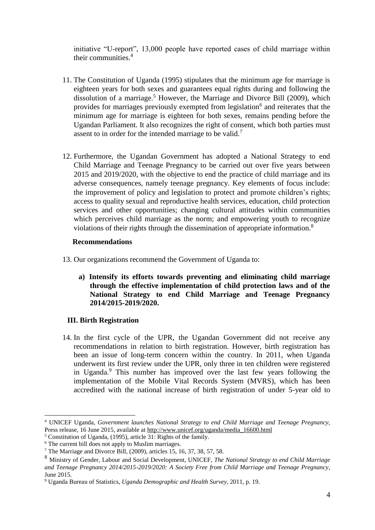initiative "U-report", 13,000 people have reported cases of child marriage within their communities.<sup>4</sup>

- 11. The Constitution of Uganda (1995) stipulates that the minimum age for marriage is eighteen years for both sexes and guarantees equal rights during and following the dissolution of a marriage.<sup>5</sup> However, the Marriage and Divorce Bill (2009), which provides for marriages previously exempted from legislation<sup>6</sup> and reiterates that the minimum age for marriage is eighteen for both sexes, remains pending before the Ugandan Parliament. It also recognizes the right of consent, which both parties must assent to in order for the intended marriage to be valid.<sup>7</sup>
- 12. Furthermore, the Ugandan Government has adopted a National Strategy to end Child Marriage and Teenage Pregnancy to be carried out over five years between 2015 and 2019/2020, with the objective to end the practice of child marriage and its adverse consequences, namely teenage pregnancy. Key elements of focus include: the improvement of policy and legislation to protect and promote children's rights; access to quality sexual and reproductive health services, education, child protection services and other opportunities; changing cultural attitudes within communities which perceives child marriage as the norm; and empowering youth to recognize violations of their rights through the dissemination of appropriate information.<sup>8</sup>

#### **Recommendations**

- 13. Our organizations recommend the Government of Uganda to:
	- **a) Intensify its efforts towards preventing and eliminating child marriage through the effective implementation of child protection laws and of the National Strategy to end Child Marriage and Teenage Pregnancy 2014/2015-2019/2020.**

## **III. Birth Registration**

14. In the first cycle of the UPR, the Ugandan Government did not receive any recommendations in relation to birth registration. However, birth registration has been an issue of long-term concern within the country. In 2011, when Uganda underwent its first review under the UPR, only three in ten children were registered in Uganda.<sup>9</sup> This number has improved over the last few years following the implementation of the Mobile Vital Records System (MVRS), which has been accredited with the national increase of birth registration of under 5-year old to

<u>.</u>

<sup>4</sup> UNICEF Uganda, *Government launches National Strategy to end Child Marriage and Teenage Pregnancy,*  Press release, 16 June 2015, available at [http://www.unicef.org/uganda/media\\_16600.html](http://www.unicef.org/uganda/media_16600.html)

<sup>5</sup> Constitution of Uganda, (1995), article 31: Rights of the family.

<sup>&</sup>lt;sup>6</sup> The current bill does not apply to Muslim marriages.

<sup>7</sup> The Marriage and Divorce Bill, (2009), articles 15, 16, 37, 38, 57, 58.

<sup>8</sup> Ministry of Gender, Labour and Social Development, UNICEF, *The National Strategy to end Child Marriage and Teenage Pregnancy 2014/2015-2019/2020: A Society Free from Child Marriage and Teenage Pregnancy*, June 2015.

<sup>9</sup> Uganda Bureau of Statistics, *Uganda Demographic and Health Survey*, 2011, p. 19.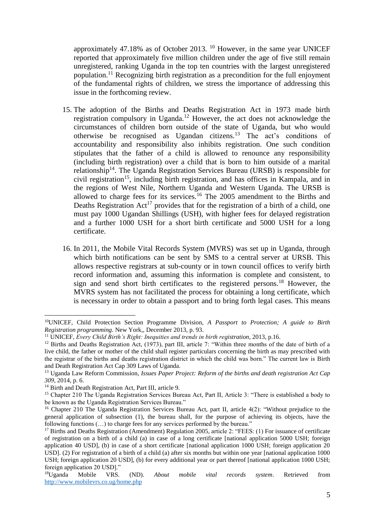approximately 47.18% as of October 2013.  $^{10}$  However, in the same year UNICEF reported that approximately five million children under the age of five still remain unregistered, ranking Uganda in the top ten countries with the largest unregistered population.<sup>11</sup> Recognizing birth registration as a precondition for the full enjoyment of the fundamental rights of children, we stress the importance of addressing this issue in the forthcoming review.

- 15. The adoption of the Births and Deaths Registration Act in 1973 made birth registration compulsory in Uganda.<sup>12</sup> However, the act does not acknowledge the circumstances of children born outside of the state of Uganda, but who would otherwise be recognised as Ugandan citizens.<sup>13</sup> The act's conditions of accountability and responsibility also inhibits registration. One such condition stipulates that the father of a child is allowed to renounce any responsibility (including birth registration) over a child that is born to him outside of a marital relationship<sup>14</sup>. The Uganda Registration Services Bureau (URSB) is responsible for civil registration<sup>15</sup>, including birth registration, and has offices in Kampala, and in the regions of West Nile, Northern Uganda and Western Uganda. The URSB is allowed to charge fees for its services.<sup>16</sup> The 2005 amendment to the Births and Deaths Registration  $Act^{17}$  provides that for the registration of a birth of a child, one must pay 1000 Ugandan Shillings (USH), with higher fees for delayed registration and a further 1000 USH for a short birth certificate and 5000 USH for a long certificate.
- 16. In 2011, the Mobile Vital Records System (MVRS) was set up in Uganda, through which birth notifications can be sent by SMS to a central server at URSB. This allows respective registrars at sub-county or in town council offices to verify birth record information and, assuming this information is complete and consistent, to sign and send short birth certificates to the registered persons.<sup>18</sup> However, the MVRS system has not facilitated the process for obtaining a long certificate, which is necessary in order to obtain a passport and to bring forth legal cases. This means

<sup>10</sup>UNICEF, Child Protection Section Programme Division, *A Passport to Protection; A guide to Birth Registration programming*. New York,, December 2013, p. 93.

<sup>11</sup> UNICEF, *Every Child Birth's Right: Inequities and trends in birth registration*, 2013, p.16.

<sup>&</sup>lt;sup>12</sup> Births and Deaths Registration Act, (1973), part III, article 7: "Within three months of the date of birth of a live child, the father or mother of the child shall register particulars concerning the birth as may prescribed with the registrar of the births and deaths registration district in which the child was born." The current law is Birth and Death Registration Act Cap 309 Laws of Uganda.

<sup>13</sup> Uganda Law Reform Commission, *Issues Paper Project: Reform of the births and death registration Act Cap 309*, 2014, p. 6.

<sup>&</sup>lt;sup>14</sup> Birth and Death Registration Act, Part III, article 9.

<sup>&</sup>lt;sup>15</sup> Chapter 210 The Uganda Registration Services Bureau Act, Part II, Article 3: "There is established a body to be known as the Uganda Registration Services Bureau."

<sup>&</sup>lt;sup>16</sup> Chapter 210 The Uganda Registration Services Bureau Act, part II, article 4(2): "Without prejudice to the general application of subsection (1), the bureau shall, for the purpose of achieving its objects, have the following functions (…) to charge fees for any services performed by the bureau."

<sup>&</sup>lt;sup>17</sup> Births and Deaths Registration (Amendment) Regulation 2005, article 2: "FEES: (1) For issuance of certificate of registration on a birth of a child (a) in case of a long certificate [national application 5000 USH; foreign application 40 USD], (b) in case of a short certificate [national application 1000 USH; foreign application 20 USD]. (2) For registration of a birth of a child (a) after six months but within one year [national application 1000 USH; foreign application 20 USD], (b) for every additional year or part thereof [national application 1000 USH; foreign application 20 USD]."

<sup>18</sup>Uganda Mobile VRS. (ND). *About mobile vital records system*. Retrieved from <http://www.mobilevrs.co.ug/home.php>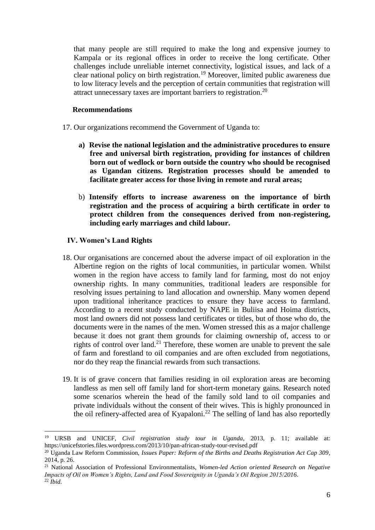that many people are still required to make the long and expensive journey to Kampala or its regional offices in order to receive the long certificate. Other challenges include unreliable internet connectivity, logistical issues, and lack of a clear national policy on birth registration.<sup>19</sup> Moreover, limited public awareness due to low literacy levels and the perception of certain communities that registration will attract unnecessary taxes are important barriers to registration.<sup>20</sup>

#### **Recommendations**

- 17. Our organizations recommend the Government of Uganda to:
	- **a) Revise the national legislation and the administrative procedures to ensure free and universal birth registration, providing for instances of children born out of wedlock or born outside the country who should be recognised as Ugandan citizens. Registration processes should be amended to facilitate greater access for those living in remote and rural areas;**
	- b) **Intensify efforts to increase awareness on the importance of birth registration and the process of acquiring a birth certificate in order to protect children from the consequences derived from non-registering, including early marriages and child labour.**

## **IV. Women's Land Rights**

- 18. Our organisations are concerned about the adverse impact of oil exploration in the Albertine region on the rights of local communities, in particular women. Whilst women in the region have access to family land for farming, most do not enjoy ownership rights. In many communities, traditional leaders are responsible for resolving issues pertaining to land allocation and ownership. Many women depend upon traditional inheritance practices to ensure they have access to farmland. According to a recent study conducted by NAPE in Buliisa and Hoima districts, most land owners did not possess land certificates or titles, but of those who do, the documents were in the names of the men. Women stressed this as a major challenge because it does not grant them grounds for claiming ownership of, access to or rights of control over land.<sup>21</sup> Therefore, these women are unable to prevent the sale of farm and forestland to oil companies and are often excluded from negotiations, nor do they reap the financial rewards from such transactions.
- 19. It is of grave concern that families residing in oil exploration areas are becoming landless as men sell off family land for short-term monetary gains. Research noted some scenarios wherein the head of the family sold land to oil companies and private individuals without the consent of their wives. This is highly pronounced in the oil refinery-affected area of Kyapaloni.<sup>22</sup> The selling of land has also reportedly

<sup>19</sup> URSB and UNICEF, *Civil registration study tour in Uganda*, 2013, p. 11; available at: https://unicefstories.files.wordpress.com/2013/10/pan-african-study-tour-revised.pdf

<sup>20</sup> Uganda Law Reform Commission, *Issues Paper: Reform of the Births and Deaths Registration Act Cap 309*, 2014, p. 26.

<sup>21</sup> National Association of Professional Environmentalists, *Women-led Action oriented Research on Negative Impacts of Oil on Women's Rights, Land and Food Sovereignity in Uganda's Oil Region 2015/2016*. <sup>22</sup> *Ibid.*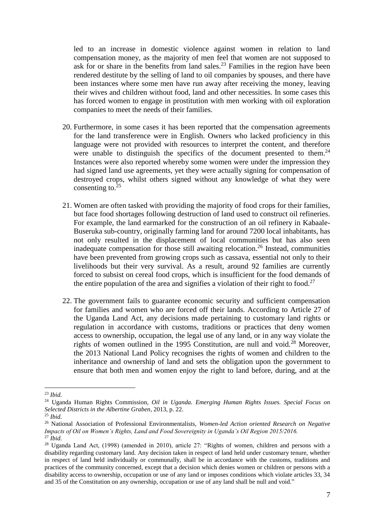led to an increase in domestic violence against women in relation to land compensation money, as the majority of men feel that women are not supposed to ask for or share in the benefits from land sales.<sup>23</sup> Families in the region have been rendered destitute by the selling of land to oil companies by spouses, and there have been instances where some men have run away after receiving the money, leaving their wives and children without food, land and other necessities. In some cases this has forced women to engage in prostitution with men working with oil exploration companies to meet the needs of their families.

- 20. Furthermore, in some cases it has been reported that the compensation agreements for the land transference were in English. Owners who lacked proficiency in this language were not provided with resources to interpret the content, and therefore were unable to distinguish the specifics of the document presented to them.<sup>24</sup> Instances were also reported whereby some women were under the impression they had signed land use agreements, yet they were actually signing for compensation of destroyed crops, whilst others signed without any knowledge of what they were consenting to. $25$
- 21. Women are often tasked with providing the majority of food crops for their families, but face food shortages following destruction of land used to construct oil refineries. For example, the land earmarked for the construction of an oil refinery in Kabaale-Buseruka sub-country, originally farming land for around 7200 local inhabitants, has not only resulted in the displacement of local communities but has also seen inadequate compensation for those still awaiting relocation.<sup>26</sup> Instead, communities have been prevented from growing crops such as cassava, essential not only to their livelihoods but their very survival. As a result, around 92 families are currently forced to subsist on cereal food crops, which is insufficient for the food demands of the entire population of the area and signifies a violation of their right to food.<sup>27</sup>
- 22. The government fails to guarantee economic security and sufficient compensation for families and women who are forced off their lands. According to Article 27 of the Uganda Land Act, any decisions made pertaining to customary land rights or regulation in accordance with customs, traditions or practices that deny women access to ownership, occupation, the legal use of any land, or in any way violate the rights of women outlined in the 1995 Constitution, are null and void.<sup>28</sup> Moreover. the 2013 National Land Policy recognises the rights of women and children to the inheritance and ownership of land and sets the obligation upon the government to ensure that both men and women enjoy the right to land before, during, and at the

<sup>23</sup> *Ibid.*

<sup>24</sup> Uganda Human Rights Commission, *Oil in Uganda. Emerging Human Rights Issues. Special Focus on Selected Districts in the Albertine Graben*, 2013, p. 22.

<sup>25</sup> *Ibid.*

<sup>26</sup> National Association of Professional Environmentalists, *Women-led Action oriented Research on Negative Impacts of Oil on Women's Rights, Land and Food Sovereignity in Uganda's Oil Region 2015/2016.* <sup>27</sup> *Ibid.*

<sup>&</sup>lt;sup>28</sup> Uganda Land Act, (1998) (amended in 2010), article 27: "Rights of women, children and persons with a disability regarding customary land. Any decision taken in respect of land held under customary tenure, whether in respect of land held individually or communally, shall be in accordance with the customs, traditions and practices of the community concerned, except that a decision which denies women or children or persons with a disability access to ownership, occupation or use of any land or imposes conditions which violate articles 33, 34 and 35 of the Constitution on any ownership, occupation or use of any land shall be null and void."